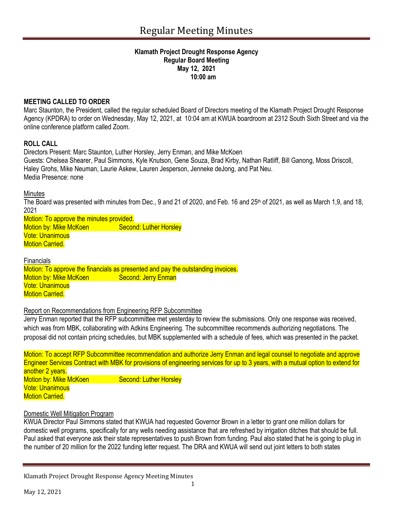#### **Klamath Project Drought Response Agency Regular Board Meeting May 12, 2021 10:00 am**

# **MEETING CALLED TO ORDER**

Marc Staunton, the President, called the regular scheduled Board of Directors meeting of the Klamath Project Drought Response Agency (KPDRA) to order on Wednesday, May 12, 2021, at 10:04 am at KWUA boardroom at 2312 South Sixth Street and via the online conference platform called Zoom.

## **ROLL CALL**

Directors Present: Marc Staunton, Luther Horsley, Jerry Enman, and Mike McKoen Guests: Chelsea Shearer, Paul Simmons, Kyle Knutson, Gene Souza, Brad Kirby, Nathan Ratliff, Bill Ganong, Moss Driscoll, Haley Grohs, Mike Neuman, Laurie Askew, Lauren Jesperson, Jenneke deJong, and Pat Neu. Media Presence: none

**Minutes** 

The Board was presented with minutes from Dec., 9 and 21 of 2020, and Feb. 16 and 25<sup>th</sup> of 2021, as well as March 1,9, and 18, 2021

Motion: To approve the minutes provided. Motion by: Mike McKoen Second: Luther Horsley Vote: Unanimous **Motion Carried.** 

**Financials** 

Motion: To approve the financials as presented and pay the outstanding invoices. Motion by: Mike McKoen Second: Jerry Enman Vote: Unanimous **Motion Carried.** 

# Report on Recommendations from Engineering RFP Subcommittee

Jerry Enman reported that the RFP subcommittee met yesterday to review the submissions. Only one response was received, which was from MBK, collaborating with Adkins Engineering. The subcommittee recommends authorizing negotiations. The proposal did not contain pricing schedules, but MBK supplemented with a schedule of fees, which was presented in the packet.

Motion: To accept RFP Subcommittee recommendation and authorize Jerry Enman and legal counsel to negotiate and approve Engineer Services Contract with MBK for provisions of engineering services for up to 3 years, with a mutual option to extend for another 2 years. Motion by: Mike McKoen Second: Luther Horsley Vote: Unanimous **Motion Carried.** 

## Domestic Well Mitigation Program

KWUA Director Paul Simmons stated that KWUA had requested Governor Brown in a letter to grant one million dollars for domestic well programs, specifically for any wells needing assistance that are refreshed by irrigation ditches that should be full. Paul asked that everyone ask their state representatives to push Brown from funding. Paul also stated that he is going to plug in the number of 20 million for the 2022 funding letter request. The DRA and KWUA will send out joint letters to both states

Klamath Project Drought Response Agency Meeting Minutes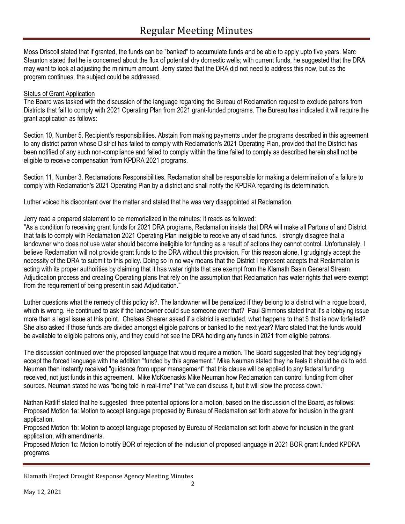Moss Driscoll stated that if granted, the funds can be "banked" to accumulate funds and be able to apply upto five years. Marc Staunton stated that he is concerned about the flux of potential dry domestic wells; with current funds, he suggested that the DRA may want to look at adjusting the minimum amount. Jerry stated that the DRA did not need to address this now, but as the program continues, the subject could be addressed.

## **Status of Grant Application**

The Board was tasked with the discussion of the language regarding the Bureau of Reclamation request to exclude patrons from Districts that fail to comply with 2021 Operating Plan from 2021 grant-funded programs. The Bureau has indicated it will require the grant application as follows:

Section 10, Number 5. Recipient's responsibilities. Abstain from making payments under the programs described in this agreement to any district patron whose District has failed to comply with Reclamation's 2021 Operating Plan, provided that the District has been notified of any such non-compliance and failed to comply within the time failed to comply as described herein shall not be eligible to receive compensation from KPDRA 2021 programs.

Section 11, Number 3. Reclamations Responsibilities. Reclamation shall be responsible for making a determination of a failure to comply with Reclamation's 2021 Operating Plan by a district and shall notify the KPDRA regarding its determination.

Luther voiced his discontent over the matter and stated that he was very disappointed at Reclamation.

### Jerry read a prepared statement to be memorialized in the minutes; it reads as followed:

"As a condition fo receiving grant funds for 2021 DRA programs, Reclamation insists that DRA will make all Partons of and District that fails to comply with Reclamation 2021 Operating Plan ineligible to receive any of said funds. I strongly disagree that a landowner who does not use water should become ineligible for funding as a result of actions they cannot control. Unfortunately, I believe Reclamation will not provide grant funds to the DRA without this provision. For this reason alone, I grudgingly accept the necessity of the DRA to submit to this policy. Doing so in no way means that the District I represent accepts that Reclamation is acting with its proper authorities by claiming that it has water rights that are exempt from the Klamath Basin General Stream Adjudication process and creating Operating plans that rely on the assumption that Reclamation has water rights that were exempt from the requirement of being present in said Adjudication."

Luther questions what the remedy of this policy is?. The landowner will be penalized if they belong to a district with a rogue board, which is wrong. He continued to ask if the landowner could sue someone over that? Paul Simmons stated that it's a lobbying issue more than a legal issue at this point. Chelsea Shearer asked if a district is excluded, what happens to that \$ that is now forfeited? She also asked if those funds are divided amongst eligible patrons or banked to the next year? Marc stated that the funds would be available to eligible patrons only, and they could not see the DRA holding any funds in 2021 from eligible patrons.

The discussion continued over the proposed language that would require a motion. The Board suggested that they begrudgingly accept the forced language with the addition "funded by this agreement." Mike Neuman stated they he feels it should be ok to add. Neuman then instantly received "guidance from upper management" that this clause will be applied to any federal funding received, not just funds in this agreement. Mike McKoenasks Mike Neuman how Reclamation can control funding from other sources. Neuman stated he was "being told in real-time" that "we can discuss it, but it will slow the process down."

Nathan Ratliff stated that he suggested three potential options for a motion, based on the discussion of the Board, as follows: Proposed Motion 1a: Motion to accept language proposed by Bureau of Reclamation set forth above for inclusion in the grant application.

Proposed Motion 1b: Motion to accept language proposed by Bureau of Reclamation set forth above for inclusion in the grant application, with amendments.

Proposed Motion 1c: Motion to notify BOR of rejection of the inclusion of proposed language in 2021 BOR grant funded KPDRA programs.

Klamath Project Drought Response Agency Meeting Minutes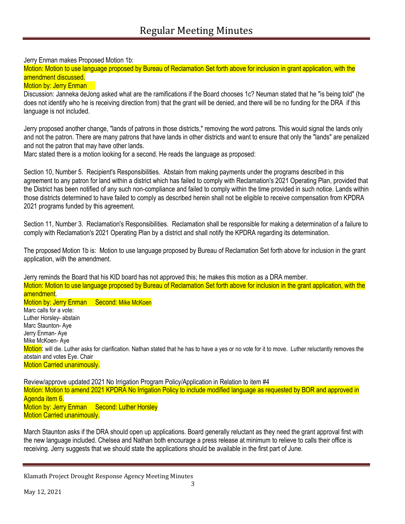Jerry Enman makes Proposed Motion 1b:

Motion: Motion to use language proposed by Bureau of Reclamation Set forth above for inclusion in grant application, with the amendment discussed.

#### **Motion by: Jerry Enman**

Discussion: Janneka deJong asked what are the ramifications if the Board chooses 1c? Neuman stated that he "is being told" (he does not identify who he is receiving direction from) that the grant will be denied, and there will be no funding for the DRA if this language is not included.

Jerry proposed another change, "lands of patrons in those districts," removing the word patrons. This would signal the lands only and not the patron. There are many patrons that have lands in other districts and want to ensure that only the "lands" are penalized and not the patron that may have other lands.

Marc stated there is a motion looking for a second. He reads the language as proposed:

Section 10, Number 5. Recipient's Responsibilities. Abstain from making payments under the programs described in this agreement to any patron for land within a district which has failed to comply with Reclamation's 2021 Operating Plan, provided that the District has been notified of any such non-compliance and failed to comply within the time provided in such notice. Lands within those districts determined to have failed to comply as described herein shall not be eligible to receive compensation from KPDRA 2021 programs funded by this agreement.

Section 11, Number 3. Reclamation's Responsibilities. Reclamation shall be responsible for making a determination of a failure to comply with Reclamation's 2021 Operating Plan by a district and shall notify the KPDRA regarding its determination.

The proposed Motion 1b is: Motion to use language proposed by Bureau of Reclamation Set forth above for inclusion in the grant application, with the amendment.

Jerry reminds the Board that his KID board has not approved this; he makes this motion as a DRA member. Motion: Motion to use language proposed by Bureau of Reclamation Set forth above for inclusion in the grant application, with the amendment. Motion by: Jerry Enman Second: Mike McKoen Marc calls for a vote: Luther Horsley- abstain Marc Staunton- Aye Jerry Enman- Aye Mike McKoen- Aye Motion: will die. Luther asks for clarification. Nathan stated that he has to have a yes or no vote for it to move. Luther reluctantly removes the abstain and votes Eye. Chair Motion Carried unanimously.

Review/approve updated 2021 No Irrigation Program Policy/Application in Relation to item #4 Motion: Motion to amend 2021 KPDRA No Irrigation Policy to include modified language as requested by BOR and approved in Agenda item 6. Motion by: Jerry Enman Second: Luther Horsley Motion Carried unanimously.

March Staunton asks if the DRA should open up applications. Board generally reluctant as they need the grant approval first with the new language included. Chelsea and Nathan both encourage a press release at minimum to relieve to calls their office is receiving. Jerry suggests that we should state the applications should be available in the first part of June.

Klamath Project Drought Response Agency Meeting Minutes